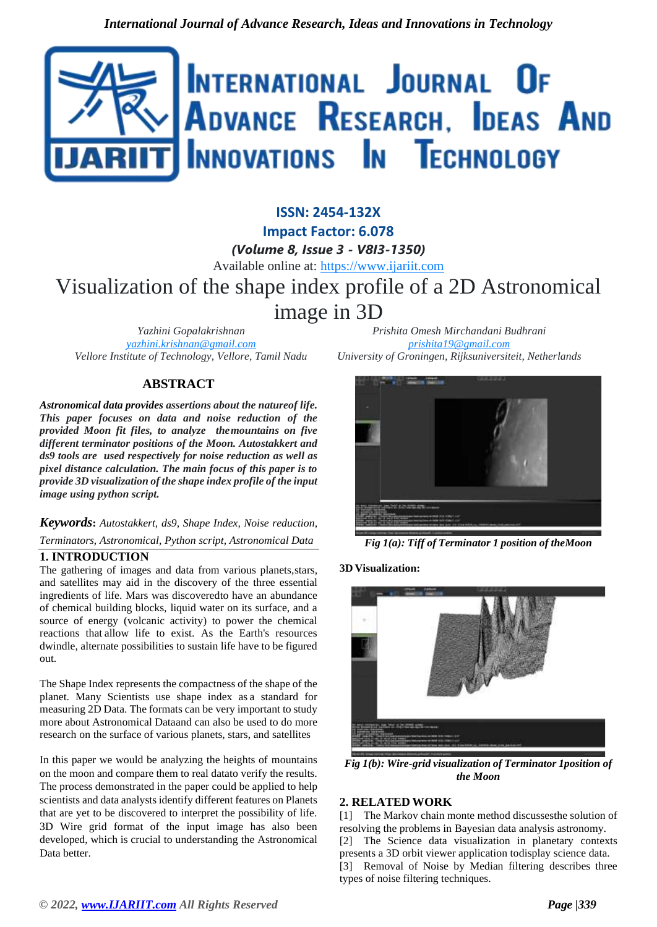

# **ISSN: 2454-132X Impact Factor: 6.078** *(Volume 8, Issue 3 - V8I3-1350)* Available online at: [https://www.ijariit.com](https://www.ijariit.com/?utm_source=pdf&utm_medium=edition&utm_campaign=OmAkSols&utm_term=V8I3-1350) Visualization of the shape index profile of a 2D Astronomical image in 3D

*Yazhini Gopalakrishnan [yazhini.krishnan@gmail.com](mailto:yazhini.krishnan@gmail.com) Vellore Institute of Technology, Vellore, Tamil Nadu*

# **ABSTRACT**

*Astronomical data provides assertions about the natureof life. This paper focuses on data and noise reduction of the provided Moon fit files, to analyze themountains on five different terminator positions of the Moon. Autostakkert and ds9 tools are used respectively for noise reduction as well as pixel distance calculation. The main focus of this paper is to provide 3D visualization of the shape index profile of the input image using python script.*

# *Keywords***:** *Autostakkert, ds9, Shape Index, Noise reduction, Terminators, Astronomical, Python script, Astronomical Data*

#### **1. INTRODUCTION**

The gathering of images and data from various planets,stars, and satellites may aid in the discovery of the three essential ingredients of life. Mars was discoveredto have an abundance of chemical building blocks, liquid water on its surface, and a source of energy (volcanic activity) to power the chemical reactions that allow life to exist. As the Earth's resources dwindle, alternate possibilities to sustain life have to be figured out.

The Shape Index represents the compactness of the shape of the planet. Many Scientists use shape index as a standard for measuring 2D Data. The formats can be very important to study more about Astronomical Dataand can also be used to do more research on the surface of various planets, stars, and satellites

In this paper we would be analyzing the heights of mountains on the moon and compare them to real datato verify the results. The process demonstrated in the paper could be applied to help scientists and data analysts identify different features on Planets that are yet to be discovered to interpret the possibility of life. 3D Wire grid format of the input image has also been developed, which is crucial to understanding the Astronomical Data better.

*Prishita Omesh Mirchandani Budhrani [prishita19@gmail.com](mailto:prishita19@gmail.com) University of Groningen, Rijksuniversiteit, Netherlands*



*Fig 1(a): Tiff of Terminator 1 position of theMoon*

#### **3D Visualization:**



*Fig 1(b): Wire-grid visualization of Terminator 1position of the Moon*

#### **2. RELATED WORK**

[1] The Markov chain monte method discusses the solution of resolving the problems in Bayesian data analysis astronomy. [2] The Science data visualization in planetary contexts presents a 3D orbit viewer application todisplay science data. [3] Removal of Noise by Median filtering describes three types of noise filtering techniques.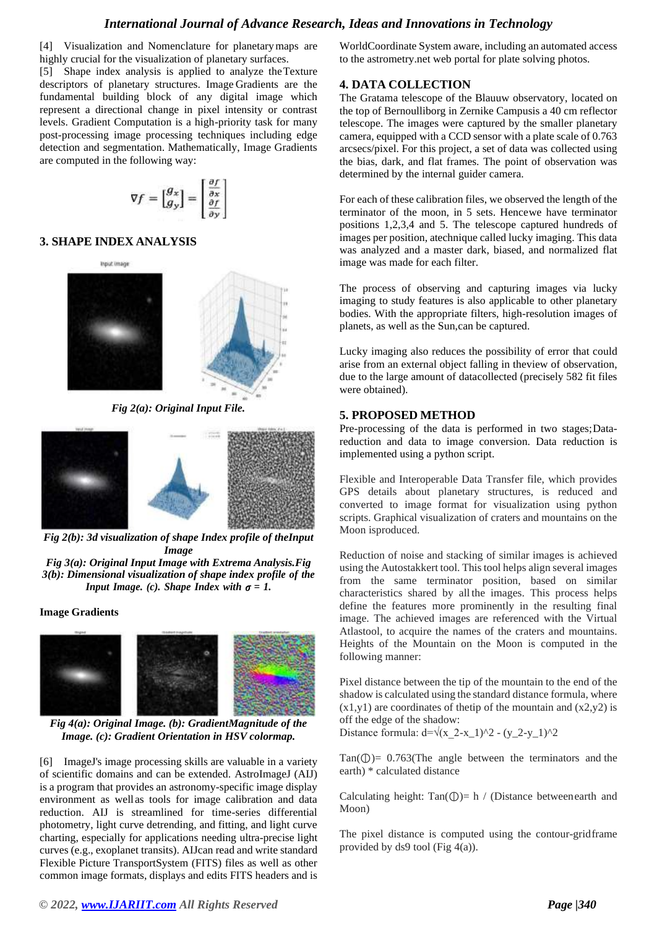### *International Journal of Advance Research, Ideas and Innovations in Technology*

[4] Visualization and Nomenclature for planetarymaps are highly crucial for the visualization of planetary surfaces.

[5] Shape index analysis is applied to analyze theTexture descriptors of planetary structures. Image Gradients are the fundamental building block of any digital image which represent a directional change in pixel intensity or contrast levels. Gradient Computation is a high-priority task for many post-processing image processing techniques including edge detection and segmentation. Mathematically, Image Gradients are computed in the following way:

$$
\nabla f = \begin{bmatrix} g_x \\ g_y \end{bmatrix} = \begin{bmatrix} \frac{\partial f}{\partial x} \\ \frac{\partial f}{\partial y} \end{bmatrix}
$$

### **3. SHAPE INDEX ANALYSIS**



*Fig 2(a): Original Input File.*



*Fig 2(b): 3d visualization of shape Index profile of theInput Image Fig 3(a): Original Input Image with Extrema Analysis.Fig* 

*3(b): Dimensional visualization of shape index profile of the*

*Input Image.* (*c*). *Shape Index with*  $\sigma = 1$ . **Image Gradients**

*Fig 4(a): Original Image. (b): GradientMagnitude of the Image. (c): Gradient Orientation in HSV colormap.*

[6] ImageJ's image processing skills are valuable in a variety of scientific domains and can be extended. AstroImageJ (AIJ) is a program that provides an astronomy-specific image display environment as wellas tools for image calibration and data reduction. AIJ is streamlined for time-series differential photometry, light curve detrending, and fitting, and light curve charting, especially for applications needing ultra-precise light curves (e.g., exoplanet transits). AIJcan read and write standard Flexible Picture TransportSystem (FITS) files as well as other common image formats, displays and edits FITS headers and is

WorldCoordinate System aware, including an automated access to the astrometry.net web portal for plate solving photos.

#### **4. DATA COLLECTION**

The Gratama telescope of the Blauuw observatory, located on the top of Bernoulliborg in Zernike Campusis a 40 cm reflector telescope. The images were captured by the smaller planetary camera, equipped with a CCD sensor with a plate scale of 0.763 arcsecs/pixel. For this project, a set of data was collected using the bias, dark, and flat frames. The point of observation was determined by the internal guider camera.

For each of these calibration files, we observed the length of the terminator of the moon, in 5 sets. Hencewe have terminator positions 1,2,3,4 and 5. The telescope captured hundreds of images per position, atechnique called lucky imaging. This data was analyzed and a master dark, biased, and normalized flat image was made for each filter.

The process of observing and capturing images via lucky imaging to study features is also applicable to other planetary bodies. With the appropriate filters, high-resolution images of planets, as well as the Sun,can be captured.

Lucky imaging also reduces the possibility of error that could arise from an external object falling in theview of observation, due to the large amount of datacollected (precisely 582 fit files were obtained).

#### **5. PROPOSED METHOD**

Pre-processing of the data is performed in two stages; Datareduction and data to image conversion. Data reduction is implemented using a python script.

Flexible and Interoperable Data Transfer file, which provides GPS details about planetary structures, is reduced and converted to image format for visualization using python scripts. Graphical visualization of craters and mountains on the Moon isproduced.

Reduction of noise and stacking of similar images is achieved using the Autostakkert tool. This tool helps align several images from the same terminator position, based on similar characteristics shared by all the images. This process helps define the features more prominently in the resulting final image. The achieved images are referenced with the Virtual Atlastool, to acquire the names of the craters and mountains. Heights of the Mountain on the Moon is computed in the following manner:

Pixel distance between the tip of the mountain to the end of the shadow is calculated using the standard distance formula, where  $(x1,y1)$  are coordinates of the ip of the mountain and  $(x2,y2)$  is off the edge of the shadow:

Distance formula:  $d=\sqrt{(x \ 2-x_1)^2 - (y_2-y_1)^2}$ 

Tan( $\mathbb{Q}$ )= 0.763(The angle between the terminators and the earth) \* calculated distance

Calculating height:  $Tan(\mathbb{O})= h / (Distance between earth and$ Moon)

The pixel distance is computed using the contour-gridframe provided by ds9 tool (Fig  $4(a)$ ).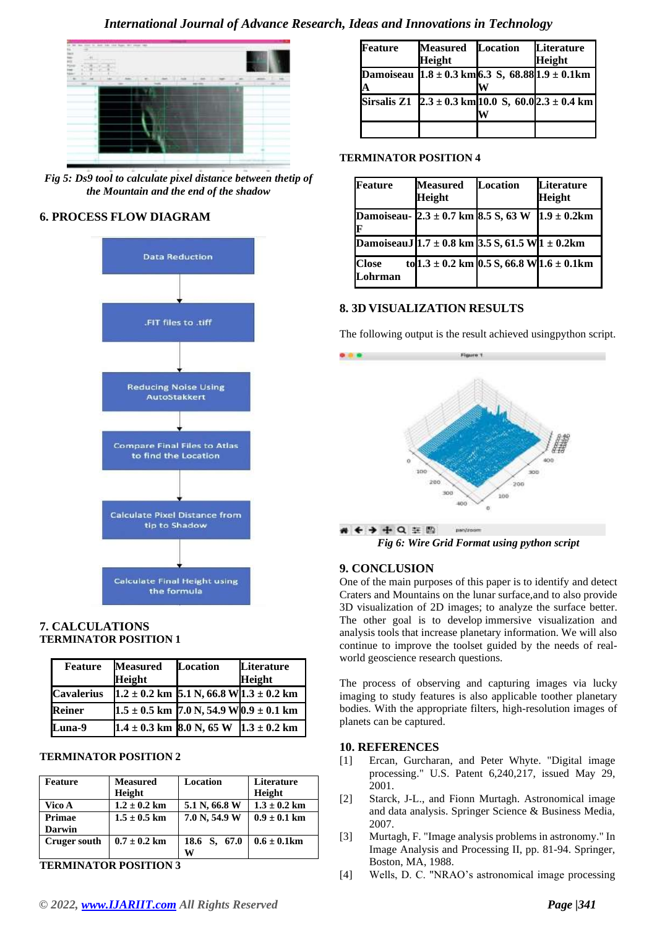

*Fig 5: Ds9 tool to calculate pixel distance between thetip of the Mountain and the end of the shadow*

### **6. PROCESS FLOW DIAGRAM**



#### **7. CALCULATIONS TERMINATOR POSITION 1**

| <b>Feature</b>    | <b>Measured</b><br><b>Height</b>                | <b>Location</b>                                              | Literature<br><b>Height</b> |
|-------------------|-------------------------------------------------|--------------------------------------------------------------|-----------------------------|
| <b>Cavalerius</b> | $1.2 \pm 0.2$ km 5.1 N, 66.8 W 1.3 $\pm$ 0.2 km |                                                              |                             |
| <b>Reiner</b>     |                                                 | $1.5 \pm 0.5$ km 7.0 N, 54.9 W $\left[0.9 \pm 0.1\right]$ km |                             |
| <b>Luna-9</b>     |                                                 | $1.4 \pm 0.3$ km 8.0 N, 65 W $1.3 \pm 0.2$ km                |                             |

#### **TERMINATOR POSITION 2**

| <b>Feature</b>      | <b>Measured</b>  | Location      | <b>Literature</b>        |
|---------------------|------------------|---------------|--------------------------|
|                     | <b>Height</b>    |               | Height                   |
| Vico A              | $1.2 \pm 0.2$ km | 5.1 N, 66.8 W | $1.3 \pm 0.2$ km         |
| Primae              | $1.5 \pm 0.5$ km | 7.0 N, 54.9 W | $0.9 \pm 0.1 \text{ km}$ |
| <b>Darwin</b>       |                  |               |                          |
| <b>Cruger south</b> | $0.7 \pm 0.2$ km | 18.6 S, 67.0  | $0.6 \pm 0.1$ km         |
|                     |                  | и             |                          |

**TERMINATOR POSITION 3**

| Feature | <b>Measured</b><br>Height | <b>Location</b> | Literature<br><b>Height</b>                                                                   |
|---------|---------------------------|-----------------|-----------------------------------------------------------------------------------------------|
| A       |                           |                 | Damoiseau $1.8 \pm 0.3$ km 6.3 S, 68.88 1.9 $\pm$ 0.1 km                                      |
|         |                           |                 | Sirsalis Z1 $\left[2.3 \pm 0.3 \text{ km} \right] 10.0 \text{ S}, 60.02.3 \pm 0.4 \text{ km}$ |
|         |                           |                 |                                                                                               |

#### **TERMINATOR POSITION 4**

| Feature                                                     | <b>Measured</b><br>Height                           | <b>Location</b> | <b>Literature</b><br><b>Height</b> |
|-------------------------------------------------------------|-----------------------------------------------------|-----------------|------------------------------------|
| Damoiseau- $2.3 \pm 0.7$ km 8.5 S, 63 W<br>Π                |                                                     |                 | $1.9 \pm 0.2 \text{km}$            |
| DamoiseauJ $1.7 \pm 0.8$ km $3.5 S$ , 61.5 W $1 \pm 0.2$ km |                                                     |                 |                                    |
| <b>Close</b><br>Lohrman                                     | to $1.3 \pm 0.2$ km $[0.5 S, 66.8 W]1.6 \pm 0.1$ km |                 |                                    |

# **8. 3D VISUALIZATION RESULTS**

The following output is the result achieved usingpython script.



*Fig 6: Wire Grid Format using python script*

# **9. CONCLUSION**

One of the main purposes of this paper is to identify and detect Craters and Mountains on the lunar surface,and to also provide 3D visualization of 2D images; to analyze the surface better. The other goal is to develop immersive visualization and analysis tools that increase planetary information. We will also continue to improve the toolset guided by the needs of realworld geoscience research questions.

The process of observing and capturing images via lucky imaging to study features is also applicable toother planetary bodies. With the appropriate filters, high-resolution images of planets can be captured.

#### **10. REFERENCES**

- [1] Ercan, Gurcharan, and Peter Whyte. "Digital image processing." U.S. Patent 6,240,217, issued May 29, 2001.
- [2] Starck, J-L., and Fionn Murtagh. Astronomical image and data analysis. Springer Science & Business Media, 2007.
- [3] Murtagh, F. "Image analysis problems in astronomy." In Image Analysis and Processing II, pp. 81-94. Springer, Boston, MA, 1988.
- [4] Wells, D. C. "NRAO's astronomical image processing